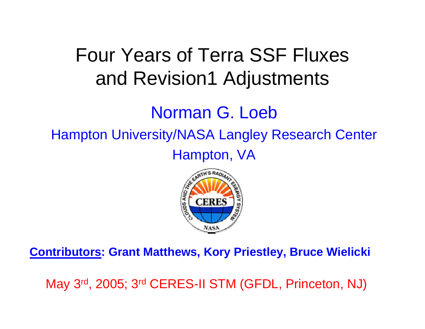# Four Years of Terra SSF Fluxes and Revision1 Adjustments

## Norman G. Loeb

Hampton University/NASA Langley Research Center

Hampton, VA



**Contributors: Grant Matthews, Kory Priestley, Bruce Wielicki**

May 3rd, 2005; 3rd CERES-II STM (GFDL, Princeton, NJ)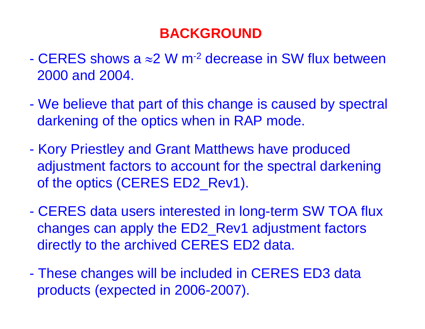## **BACKGROUND**

- CERES shows a  $\approx$ 2 W m<sup>-2</sup> decrease in SW flux between 2000 and 2004.
- $\mathcal{L}_{\mathcal{A}}$  We believe that part of this change is caused by spectral darkening of the optics when in RAP mode.
- $\mathcal{L}_{\mathcal{A}}$  Kory Priestley and Grant Matthews have produced adjustment factors to account for the spectral darkening of the optics (CERES ED2\_Rev1).
- $\mathcal{L}_{\mathcal{A}}$  CERES data users interested in long-term SW TOA flux changes can apply the ED2\_Rev1 adjustment factors directly to the archived CERES ED2 data.
- $\mathcal{L}_{\mathcal{A}}$  These changes will be included in CERES ED3 data products (expected in 2006-2007).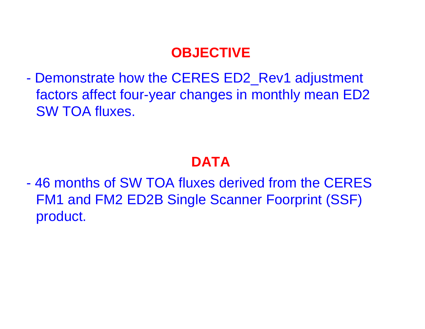## **OBJECTIVE**

 $\mathcal{L}_{\mathcal{A}}$  Demonstrate how the CERES ED2\_Rev1 adjustment factors affect four-year changes in monthly mean ED2 SW TOA fluxes.

## **DATA**

- 46 months of SW TOA fluxes derived from the CERES FM1 and FM2 ED2B Single Scanner Foorprint (SSF) product.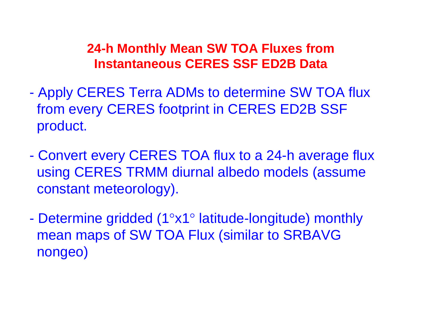#### **24-h Monthly Mean SW TOA Fluxes from Instantaneous CERES SSF ED2B Data**

- $\mathcal{L}_{\mathcal{A}}$  Apply CERES Terra ADMs to determine SW TOA flux from every CERES footprint in CERES ED2B SSF product.
- $\mathcal{L}_{\mathcal{A}}$  Convert every CERES TOA flux to a 24-h average flux using CERES TRMM diurnal albedo models (assume constant meteorology).
- $\mathcal{L}_{\mathcal{A}}$  Determine gridded (1 °x1 ° latitude-longitude) monthly mean maps of SW TOA Flux (similar to SRBAVG nongeo)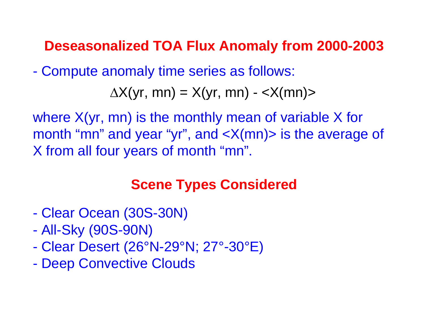### **Deseasonalized TOA Flux Anomaly from 2000-2003**

 $\mathcal{L}_{\mathcal{A}}$ Compute anomaly time series as follows:

 $\Delta X(yr, mn) = X(yr, mn) - \langle X(mn) \rangle$ 

where X(yr, mn) is the monthly mean of variable X for month "mn" and year "yr", and <X(mn)> is the average of X from all four years of month "mn".

## **Scene Types Considered**

- -Clear Ocean (30S-30N)
- $\mathcal{L}_{\mathcal{A}}$ All-Sky (90S-90N)
- $\mathcal{L}_{\mathcal{A}}$ Clear Desert (26°N-29°N; 27°-30°E)
- $\mathcal{L}_{\mathcal{A}}$ Deep Convective Clouds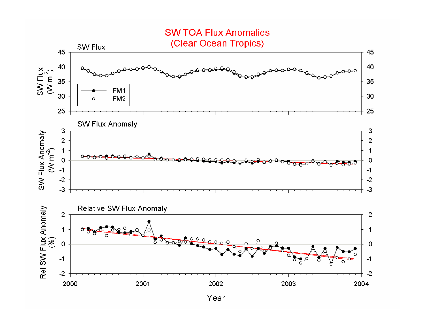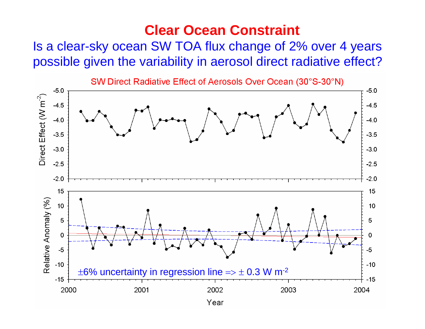### **Clear Ocean Constraint**

Is a clear-sky ocean SW TOA flux change of 2% over 4 years possible given the variability in aerosol direct radiative effect?

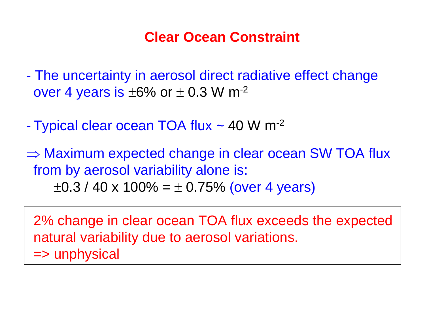## **Clear Ocean Constraint**

- - The uncertainty in aerosol direct radiative effect change over 4 years is  $\pm 6\%$  or  $\pm$  0.3 W m<sup>-2</sup>
- $\mathcal{L}_{\mathcal{A}}$ Typical clear ocean TOA flux ~ 40 W m<sup>-2</sup>
- $\Rightarrow$  Maximum expected change in clear ocean SW TOA flux from by aerosol variability alone is:  $\pm0.3$  / 40 x 100% =  $\pm$  0.75% (over 4 years)

2% change in clear ocean TOA flux exceeds the expected natural variability due to aerosol variations. => unphysical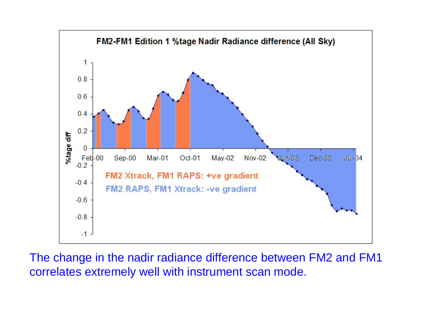

The change in the nadir radiance difference between FM2 and FM1 correlates extremely well with instrument scan mode.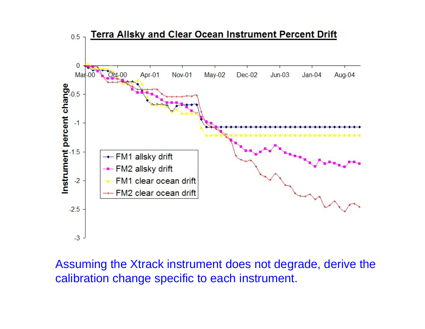

Assuming the Xtrack instrument does not degrade, derive the calibration change specific to each instrument.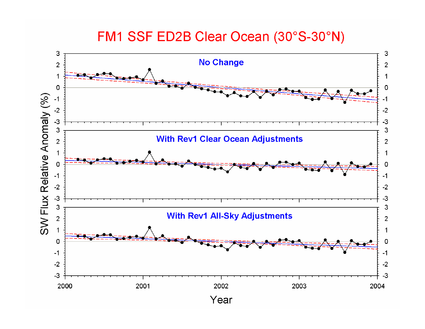#### FM1 SSF ED2B Clear Ocean (30°S-30°N)

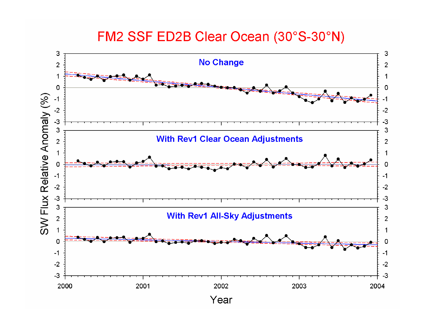#### FM2 SSF ED2B Clear Ocean (30°S-30°N)

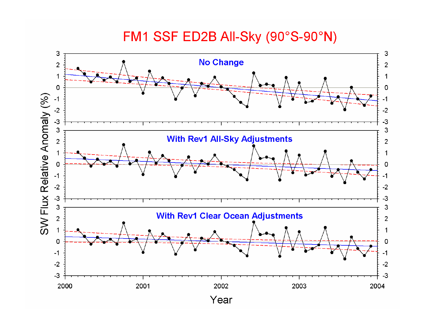#### FM1 SSF ED2B All-Sky (90°S-90°N)

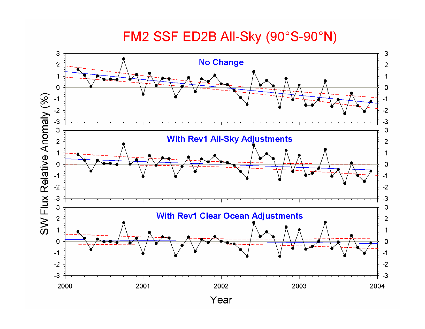#### FM2 SSF ED2B All-Sky (90°S-90°N)

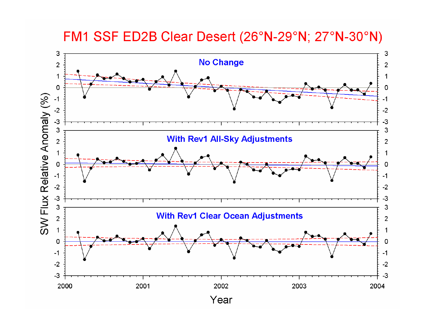FM1 SSF ED2B Clear Desert (26°N-29°N; 27°N-30°N)

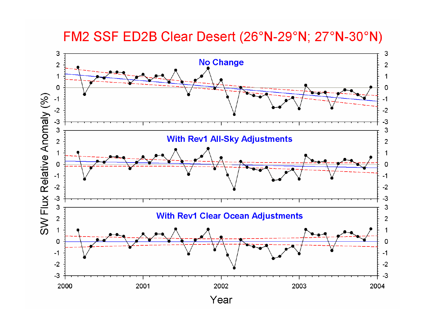FM2 SSF ED2B Clear Desert (26°N-29°N; 27°N-30°N)

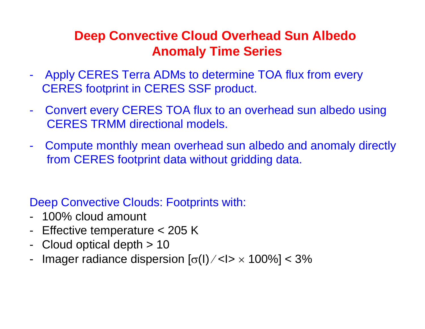### **Deep Convective Cloud Overhead Sun Albedo Anomaly Time Series**

- - Apply CERES Terra ADMs to determine TOA flux from every CERES footprint in CERES SSF product.
- - Convert every CERES TOA flux to an overhead sun albedo using CERES TRMM directional models.
- - Compute monthly mean overhead sun albedo and anomaly directly from CERES footprint data without gridding data.

Deep Convective Clouds: Footprints with:

- 100% cloud amount
- Effective temperature < 205 K
- -Cloud optical depth > 10
- -Imager radiance dispersion  $\left[\sigma(\mathsf{I})\diagup\mathsf{I}\right]\times1>100\%$ ] < 3%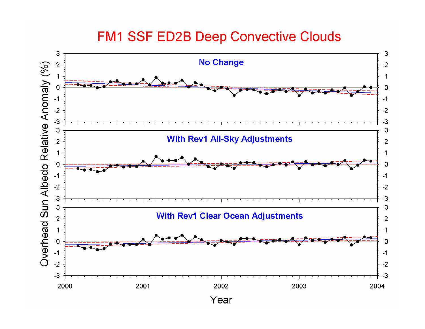#### **FM1 SSF ED2B Deep Convective Clouds**

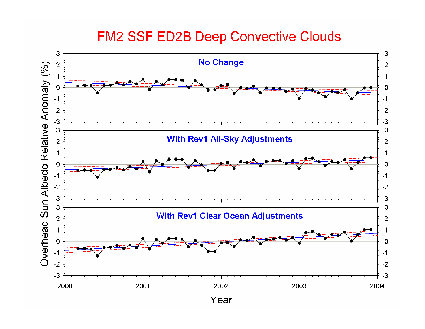#### **FM2 SSF ED2B Deep Convective Clouds**

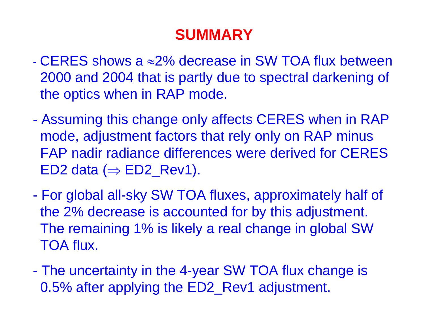## **SUMMARY**

- CERES shows a ≈2% decrease in SW TOA flux between 2000 and 2004 that is partly due to spectral darkening of the optics when in RAP mode.
- $\mathcal{L}_{\mathcal{A}}$  Assuming this change only affects CERES when in RAP mode, adjustment factors that rely only on RAP minus FAP nadir radiance differences were derived for CERES ED2 data ( $\Rightarrow$  ED2\_Rev1).
- $\mathcal{L}_{\mathcal{A}}$  For global all-sky SW TOA fluxes, approximately half of the 2% decrease is accounted for by this adjustment. The remaining 1% is likely a real change in global SW TOA flux.
- $\mathcal{L}_{\mathcal{A}}$  The uncertainty in the 4-year SW TOA flux change is 0.5% after applying the ED2\_Rev1 adjustment.